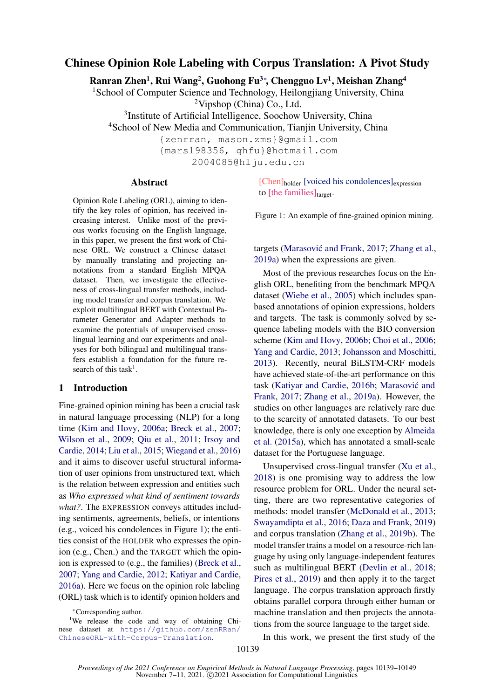# Chinese Opinion Role Labeling with Corpus Translation: A Pivot Study

Ranran Zhen<sup>1</sup>, Rui Wang<sup>2</sup>, Guohong Fu<sup>3</sup>\*, Chengguo Lv<sup>1</sup>, Meishan Zhang<sup>4</sup>

<sup>1</sup>School of Computer Science and Technology, Heilongjiang University, China <sup>2</sup>Vipshop (China) Co., Ltd.

3 Institute of Artificial Intelligence, Soochow University, China

<sup>4</sup>School of New Media and Communication, Tianjin University, China

{zenrran, mason.zms}@gmail.com

{mars198356, ghfu}@hotmail.com

2004085@hlju.edu.cn

#### Abstract

Opinion Role Labeling (ORL), aiming to identify the key roles of opinion, has received increasing interest. Unlike most of the previous works focusing on the English language, in this paper, we present the first work of Chinese ORL. We construct a Chinese dataset by manually translating and projecting annotations from a standard English MPQA dataset. Then, we investigate the effectiveness of cross-lingual transfer methods, including model transfer and corpus translation. We exploit multilingual BERT with Contextual Parameter Generator and Adapter methods to examine the potentials of unsupervised crosslingual learning and our experiments and analyses for both bilingual and multilingual transfers establish a foundation for the future re-search of this task<sup>[1](#page-0-0)</sup>.

#### 1 Introduction

Fine-grained opinion mining has been a crucial task in natural language processing (NLP) for a long time [\(Kim and Hovy,](#page-9-0) [2006a;](#page-9-0) [Breck et al.,](#page-8-0) [2007;](#page-8-0) [Wilson et al.,](#page-10-0) [2009;](#page-10-0) [Qiu et al.,](#page-9-1) [2011;](#page-9-1) [Irsoy and](#page-9-2) [Cardie,](#page-9-2) [2014;](#page-9-2) [Liu et al.,](#page-9-3) [2015;](#page-9-3) [Wiegand et al.,](#page-10-1) [2016\)](#page-10-1) and it aims to discover useful structural information of user opinions from unstructured text, which is the relation between expression and entities such as *Who expressed what kind of sentiment towards what?*. The EXPRESSION conveys attitudes including sentiments, agreements, beliefs, or intentions (e.g., voiced his condolences in Figure [1\)](#page-0-1); the entities consist of the HOLDER who expresses the opinion (e.g., Chen.) and the TARGET which the opinion is expressed to (e.g., the families) [\(Breck et al.,](#page-8-0) [2007;](#page-8-0) [Yang and Cardie,](#page-10-2) [2012;](#page-10-2) [Katiyar and Cardie,](#page-9-4) [2016a\)](#page-9-4). Here we focus on the opinion role labeling (ORL) task which is to identify opinion holders and

<span id="page-0-1"></span>[Chen]<sub>holder</sub> [voiced his condolences]<sub>expression</sub> to [the families]target.

Figure 1: An example of fine-grained opinion mining.

targets (Marasović and Frank, [2017;](#page-9-5) [Zhang et al.,](#page-10-3) [2019a\)](#page-10-3) when the expressions are given.

Most of the previous researches focus on the English ORL, benefiting from the benchmark MPQA dataset [\(Wiebe et al.,](#page-10-4) [2005\)](#page-10-4) which includes spanbased annotations of opinion expressions, holders and targets. The task is commonly solved by sequence labeling models with the BIO conversion scheme [\(Kim and Hovy,](#page-9-6) [2006b;](#page-9-6) [Choi et al.,](#page-8-1) [2006;](#page-8-1) [Yang and Cardie,](#page-10-5) [2013;](#page-10-5) [Johansson and Moschitti,](#page-9-7) [2013\)](#page-9-7). Recently, neural BiLSTM-CRF models have achieved state-of-the-art performance on this task [\(Katiyar and Cardie,](#page-9-8) [2016b;](#page-9-8) [Marasovic and](#page-9-5) ´ [Frank,](#page-9-5) [2017;](#page-9-5) [Zhang et al.,](#page-10-3) [2019a\)](#page-10-3). However, the studies on other languages are relatively rare due to the scarcity of annotated datasets. To our best knowledge, there is only one exception by [Almeida](#page-8-2) [et al.](#page-8-2) [\(2015a\)](#page-8-2), which has annotated a small-scale dataset for the Portuguese language.

Unsupervised cross-lingual transfer [\(Xu et al.,](#page-10-6) [2018\)](#page-10-6) is one promising way to address the low resource problem for ORL. Under the neural setting, there are two representative categories of methods: model transfer [\(McDonald et al.,](#page-9-9) [2013;](#page-9-9) [Swayamdipta et al.,](#page-10-7) [2016;](#page-10-7) [Daza and Frank,](#page-8-3) [2019\)](#page-8-3) and corpus translation [\(Zhang et al.,](#page-10-8) [2019b\)](#page-10-8). The model transfer trains a model on a resource-rich language by using only language-independent features such as multilingual BERT [\(Devlin et al.,](#page-8-4) [2018;](#page-8-4) [Pires et al.,](#page-9-10) [2019\)](#page-9-10) and then apply it to the target language. The corpus translation approach firstly obtains parallel corpora through either human or machine translation and then projects the annotations from the source language to the target side.

In this work, we present the first study of the

<span id="page-0-0"></span><sup>∗</sup>Corresponding author.

<sup>&</sup>lt;sup>1</sup>We release the code and way of obtaining Chinese dataset at [https://github.com/zenRRan/](https://github.com/zenRRan/ChineseORL-with-Corpus-Translation) [ChineseORL-with-Corpus-Translation](https://github.com/zenRRan/ChineseORL-with-Corpus-Translation).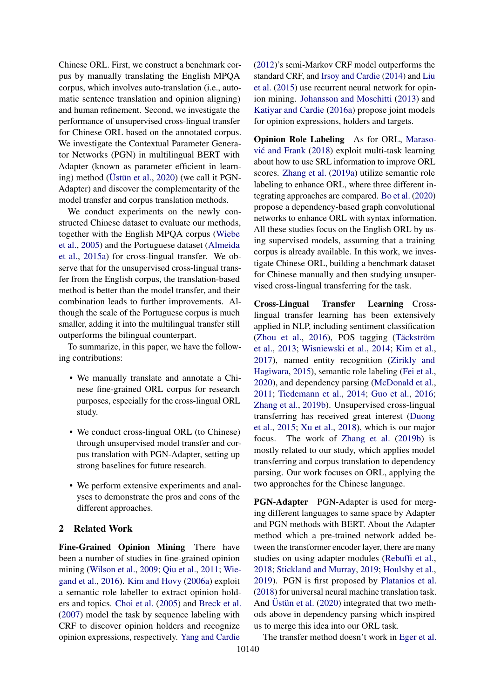Chinese ORL. First, we construct a benchmark corpus by manually translating the English MPQA corpus, which involves auto-translation (i.e., automatic sentence translation and opinion aligning) and human refinement. Second, we investigate the performance of unsupervised cross-lingual transfer for Chinese ORL based on the annotated corpus. We investigate the Contextual Parameter Generator Networks (PGN) in multilingual BERT with Adapter (known as parameter efficient in learning) method [\(Üstün et al.,](#page-10-9) [2020\)](#page-10-9) (we call it PGN-Adapter) and discover the complementarity of the model transfer and corpus translation methods.

We conduct experiments on the newly constructed Chinese dataset to evaluate our methods, together with the English MPQA corpus [\(Wiebe](#page-10-4) [et al.,](#page-10-4) [2005\)](#page-10-4) and the Portuguese dataset [\(Almeida](#page-8-2) [et al.,](#page-8-2) [2015a\)](#page-8-2) for cross-lingual transfer. We observe that for the unsupervised cross-lingual transfer from the English corpus, the translation-based method is better than the model transfer, and their combination leads to further improvements. Although the scale of the Portuguese corpus is much smaller, adding it into the multilingual transfer still outperforms the bilingual counterpart.

To summarize, in this paper, we have the following contributions:

- We manually translate and annotate a Chinese fine-grained ORL corpus for research purposes, especially for the cross-lingual ORL study.
- We conduct cross-lingual ORL (to Chinese) through unsupervised model transfer and corpus translation with PGN-Adapter, setting up strong baselines for future research.
- We perform extensive experiments and analyses to demonstrate the pros and cons of the different approaches.

### 2 Related Work

Fine-Grained Opinion Mining There have been a number of studies in fine-grained opinion mining [\(Wilson et al.,](#page-10-0) [2009;](#page-10-0) [Qiu et al.,](#page-9-1) [2011;](#page-9-1) [Wie](#page-10-1)[gand et al.,](#page-10-1) [2016\)](#page-10-1). [Kim and Hovy](#page-9-0) [\(2006a\)](#page-9-0) exploit a semantic role labeller to extract opinion holders and topics. [Choi et al.](#page-8-5) [\(2005\)](#page-8-5) and [Breck et al.](#page-8-0) [\(2007\)](#page-8-0) model the task by sequence labeling with CRF to discover opinion holders and recognize opinion expressions, respectively. [Yang and Cardie](#page-10-2)

[\(2012\)](#page-10-2)'s semi-Markov CRF model outperforms the standard CRF, and [Irsoy and Cardie](#page-9-2) [\(2014\)](#page-9-2) and [Liu](#page-9-3) [et al.](#page-9-3) [\(2015\)](#page-9-3) use recurrent neural network for opinion mining. [Johansson and Moschitti](#page-9-7) [\(2013\)](#page-9-7) and [Katiyar and Cardie](#page-9-4) [\(2016a\)](#page-9-4) propose joint models for opinion expressions, holders and targets.

Opinion Role Labeling As for ORL, [Maraso](#page-9-11)vić and Frank  $(2018)$  exploit multi-task learning about how to use SRL information to improve ORL scores. [Zhang et al.](#page-10-3) [\(2019a\)](#page-10-3) utilize semantic role labeling to enhance ORL, where three different integrating approaches are compared. [Bo et al.](#page-8-6) [\(2020\)](#page-8-6) propose a dependency-based graph convolutional networks to enhance ORL with syntax information. All these studies focus on the English ORL by using supervised models, assuming that a training corpus is already available. In this work, we investigate Chinese ORL, building a benchmark dataset for Chinese manually and then studying unsupervised cross-lingual transferring for the task.

Cross-Lingual Transfer Learning Crosslingual transfer learning has been extensively applied in NLP, including sentiment classification [\(Zhou et al.,](#page-10-10) [2016\)](#page-10-10), POS tagging [\(Täckström](#page-10-11) [et al.,](#page-10-11) [2013;](#page-10-11) [Wisniewski et al.,](#page-10-12) [2014;](#page-10-12) [Kim et al.,](#page-9-12) [2017\)](#page-9-12), named entity recognition [\(Zirikly and](#page-10-13) [Hagiwara,](#page-10-13) [2015\)](#page-10-13), semantic role labeling [\(Fei et al.,](#page-8-7) [2020\)](#page-8-7), and dependency parsing [\(McDonald et al.,](#page-9-13) [2011;](#page-9-13) [Tiedemann et al.,](#page-10-14) [2014;](#page-10-14) [Guo et al.,](#page-8-8) [2016;](#page-8-8) [Zhang et al.,](#page-10-8) [2019b\)](#page-10-8). Unsupervised cross-lingual transferring has received great interest [\(Duong](#page-8-9) [et al.,](#page-8-9) [2015;](#page-8-9) [Xu et al.,](#page-10-6) [2018\)](#page-10-6), which is our major focus. The work of [Zhang et al.](#page-10-8) [\(2019b\)](#page-10-8) is mostly related to our study, which applies model transferring and corpus translation to dependency parsing. Our work focuses on ORL, applying the two approaches for the Chinese language.

PGN-Adapter PGN-Adapter is used for merging different languages to same space by Adapter and PGN methods with BERT. About the Adapter method which a pre-trained network added between the transformer encoder layer, there are many studies on using adapter modules [\(Rebuffi et al.,](#page-10-15) [2018;](#page-10-15) [Stickland and Murray,](#page-10-16) [2019;](#page-10-16) [Houlsby et al.,](#page-8-10) [2019\)](#page-8-10). PGN is first proposed by [Platanios et al.](#page-9-14) [\(2018\)](#page-9-14) for universal neural machine translation task. And [Üstün et al.](#page-10-9) [\(2020\)](#page-10-9) integrated that two methods above in dependency parsing which inspired us to merge this idea into our ORL task.

The transfer method doesn't work in [Eger et al.](#page-8-11)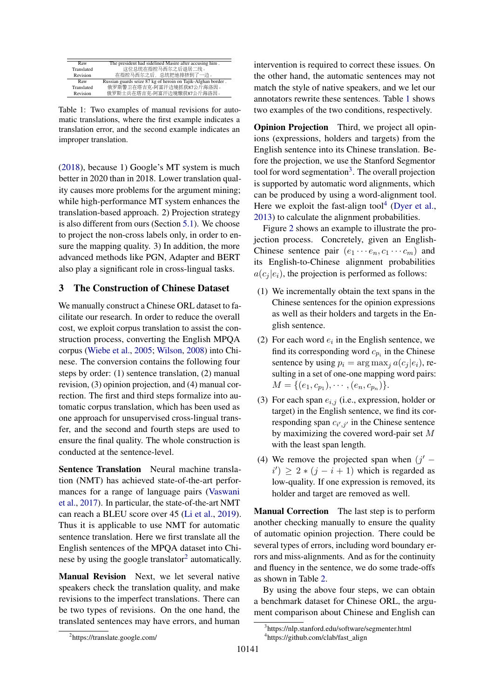<span id="page-2-1"></span>

| Raw        | The president had sidelined Masire after accusing him.       |
|------------|--------------------------------------------------------------|
| Translated | 这位总统在指控马西尔之后退居二线。                                            |
| Revision   | 在指控马西尔之后,总统把他排挤到了一边。                                         |
| Raw        | Russian guards seize 87 kg of heroin on Tajik-Afghan border. |
|            |                                                              |
| Translated | 俄罗斯警卫在塔吉克-阿富汗边境抓获87公斤海洛因。                                    |
| Revision   | 俄罗斯士兵在塔吉克-阿富汗边境缴获87公斤海洛因。                                    |

Table 1: Two examples of manual revisions for automatic translations, where the first example indicates a translation error, and the second example indicates an improper translation.

[\(2018\)](#page-8-11), because 1) Google's MT system is much better in 2020 than in 2018. Lower translation quality causes more problems for the argument mining; while high-performance MT system enhances the translation-based approach. 2) Projection strategy is also different from ours (Section [5.1\)](#page-5-0). We choose to project the non-cross labels only, in order to ensure the mapping quality. 3) In addition, the more advanced methods like PGN, Adapter and BERT also play a significant role in cross-lingual tasks.

# <span id="page-2-4"></span>3 The Construction of Chinese Dataset

We manually construct a Chinese ORL dataset to facilitate our research. In order to reduce the overall cost, we exploit corpus translation to assist the construction process, converting the English MPQA corpus [\(Wiebe et al.,](#page-10-4) [2005;](#page-10-4) [Wilson,](#page-10-17) [2008\)](#page-10-17) into Chinese. The conversion contains the following four steps by order: (1) sentence translation, (2) manual revision, (3) opinion projection, and (4) manual correction. The first and third steps formalize into automatic corpus translation, which has been used as one approach for unsupervised cross-lingual transfer, and the second and fourth steps are used to ensure the final quality. The whole construction is conducted at the sentence-level.

Sentence Translation Neural machine translation (NMT) has achieved state-of-the-art performances for a range of language pairs [\(Vaswani](#page-10-18) [et al.,](#page-10-18) [2017\)](#page-10-18). In particular, the state-of-the-art NMT can reach a BLEU score over 45 [\(Li et al.,](#page-9-15) [2019\)](#page-9-15). Thus it is applicable to use NMT for automatic sentence translation. Here we first translate all the English sentences of the MPQA dataset into Chi-nese by using the google translator<sup>[2](#page-2-0)</sup> automatically.

Manual Revision Next, we let several native speakers check the translation quality, and make revisions to the imperfect translations. There can be two types of revisions. On the one hand, the translated sentences may have errors, and human

intervention is required to correct these issues. On the other hand, the automatic sentences may not match the style of native speakers, and we let our annotators rewrite these sentences. Table [1](#page-2-1) shows two examples of the two conditions, respectively.

Opinion Projection Third, we project all opinions (expressions, holders and targets) from the English sentence into its Chinese translation. Before the projection, we use the Stanford Segmentor tool for word segmentation<sup>[3](#page-2-2)</sup>. The overall projection is supported by automatic word alignments, which can be produced by using a word-alignment tool. Here we exploit the fast-align tool<sup>[4](#page-2-3)</sup> [\(Dyer et al.,](#page-8-12) [2013\)](#page-8-12) to calculate the alignment probabilities.

Figure [2](#page-3-0) shows an example to illustrate the projection process. Concretely, given an English-Chinese sentence pair  $(e_1 \cdots e_n, c_1 \cdots c_m)$  and its English-to-Chinese alignment probabilities  $a(c_i | e_i)$ , the projection is performed as follows:

- (1) We incrementally obtain the text spans in the Chinese sentences for the opinion expressions as well as their holders and targets in the English sentence.
- (2) For each word  $e_i$  in the English sentence, we find its corresponding word  $c_{p_i}$  in the Chinese sentence by using  $p_i = \arg \max_i a(c_i | e_i)$ , resulting in a set of one-one mapping word pairs:  $M = \{(e_1, c_{p_1}), \cdots, (e_n, c_{p_n})\}.$
- (3) For each span  $e_{i,j}$  (i.e., expression, holder or target) in the English sentence, we find its corresponding span  $c_{i',j'}$  in the Chinese sentence by maximizing the covered word-pair set M with the least span length.
- (4) We remove the projected span when  $(j'$  $i'$ )  $\geq 2 * (j - i + 1)$  which is regarded as low-quality. If one expression is removed, its holder and target are removed as well.

Manual Correction The last step is to perform another checking manually to ensure the quality of automatic opinion projection. There could be several types of errors, including word boundary errors and miss-alignments. And as for the continuity and fluency in the sentence, we do some trade-offs as shown in Table [2.](#page-3-1)

By using the above four steps, we can obtain a benchmark dataset for Chinese ORL, the argument comparison about Chinese and English can

<span id="page-2-0"></span><sup>2</sup> https://translate.google.com/

<span id="page-2-3"></span><span id="page-2-2"></span><sup>3</sup> https://nlp.stanford.edu/software/segmenter.html 4 https://github.com/clab/fast\_align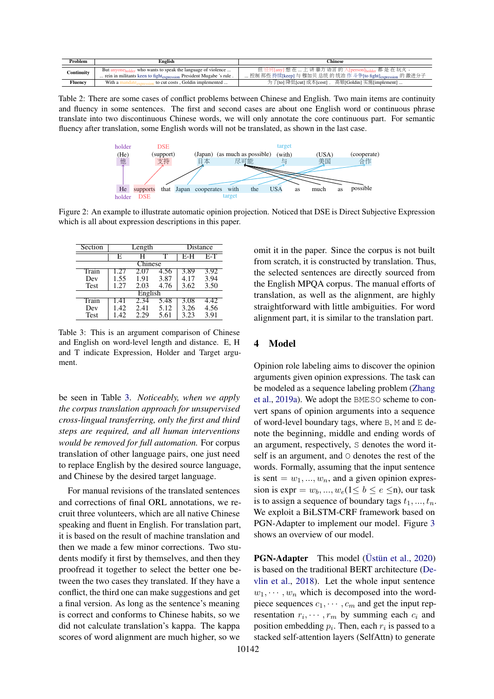<span id="page-3-1"></span>

| Problem        | English                                                                                                                                                     | Chinese                                                                                                               |  |  |  |  |
|----------------|-------------------------------------------------------------------------------------------------------------------------------------------------------------|-----------------------------------------------------------------------------------------------------------------------|--|--|--|--|
| Continuity     | But anyone <sub>holder</sub> who wants to speak the language of violence<br>rein in militants keen to fight <sub>expression</sub> President Mugabe 's rule. | 但 任何[any] 想 在  上 讲 暴力 语言 的 人[person]holder 都 是 在 玩火 。<br>控制 那些 持续[keep] 与 穆加贝 总统 的 统治 作 斗争[to fight]expression 的 激进分子 |  |  |  |  |
| <b>Fluency</b> | With a<br>, to cut costs. Goldin implemented                                                                                                                | 为了[to] 降低[cut] 成本[cost], 高银[Goldin] 实施[implement]                                                                     |  |  |  |  |
|                |                                                                                                                                                             |                                                                                                                       |  |  |  |  |

<span id="page-3-0"></span>Table 2: There are some cases of conflict problems between Chinese and English. Two main items are continuity and fluency in some sentences. The first and second cases are about one English word or continuous phrase translate into two discontinuous Chinese words, we will only annotate the core continuous part. For semantic fluency after translation, some English words will not be translated, as shown in the last case.



Figure 2: An example to illustrate automatic opinion projection. Noticed that DSE is Direct Subjective Expression which is all about expression descriptions in this paper.

<span id="page-3-2"></span>

| Section     |         | Length | Distance |      |      |  |  |  |  |
|-------------|---------|--------|----------|------|------|--|--|--|--|
|             | E,      |        |          | E-H  | E-T  |  |  |  |  |
| Chinese     |         |        |          |      |      |  |  |  |  |
| Train       |         |        |          | 3.89 | 3.92 |  |  |  |  |
| Dev         | 1.55    | 1.91   | 3.87     | 4.17 | 3.94 |  |  |  |  |
| Test        | 1.27    | 2.03   | 4.76     | 3.62 | 3.50 |  |  |  |  |
|             | English |        |          |      |      |  |  |  |  |
| Train       |         | 2.34   | 5.48     | 3.08 | 4.42 |  |  |  |  |
| Dev         | 1.42    | 2.41   | 5.12     | 3.26 | 4.56 |  |  |  |  |
| <b>Test</b> | 1.42    | 2.29   | 5.61     | 3.23 | 3.91 |  |  |  |  |

Table 3: This is an argument comparison of Chinese and English on word-level length and distance. E, H and T indicate Expression, Holder and Target argument.

be seen in Table [3.](#page-3-2) *Noticeably, when we apply the corpus translation approach for unsupervised cross-lingual transferring, only the first and third steps are required, and all human interventions would be removed for full automation.* For corpus translation of other language pairs, one just need to replace English by the desired source language, and Chinese by the desired target language.

For manual revisions of the translated sentences and corrections of final ORL annotations, we recruit three volunteers, which are all native Chinese speaking and fluent in English. For translation part, it is based on the result of machine translation and then we made a few minor corrections. Two students modify it first by themselves, and then they proofread it together to select the better one between the two cases they translated. If they have a conflict, the third one can make suggestions and get a final version. As long as the sentence's meaning is correct and conforms to Chinese habits, so we did not calculate translation's kappa. The kappa scores of word alignment are much higher, so we

omit it in the paper. Since the corpus is not built from scratch, it is constructed by translation. Thus, the selected sentences are directly sourced from the English MPQA corpus. The manual efforts of translation, as well as the alignment, are highly straightforward with little ambiguities. For word alignment part, it is similar to the translation part.

## 4 Model

Opinion role labeling aims to discover the opinion arguments given opinion expressions. The task can be modeled as a sequence labeling problem [\(Zhang](#page-10-3) [et al.,](#page-10-3) [2019a\)](#page-10-3). We adopt the BMESO scheme to convert spans of opinion arguments into a sequence of word-level boundary tags, where  $B$ , M and  $E$  denote the beginning, middle and ending words of an argument, respectively, S denotes the word itself is an argument, and O denotes the rest of the words. Formally, assuming that the input sentence is sent =  $w_1, ..., w_n$ , and a given opinion expression is  $\text{expr} = w_b, ..., w_e (1 \leq b \leq e \leq n)$ , our task is to assign a sequence of boundary tags  $t_1, ..., t_n$ . We exploit a BiLSTM-CRF framework based on PGN-Adapter to implement our model. Figure [3](#page-4-0) shows an overview of our model.

PGN-Adapter This model [\(Üstün et al.,](#page-10-9) [2020\)](#page-10-9) is based on the traditional BERT architecture [\(De](#page-8-4)[vlin et al.,](#page-8-4) [2018\)](#page-8-4). Let the whole input sentence  $w_1, \dots, w_n$  which is decomposed into the wordpiece sequences  $c_1, \dots, c_m$  and get the input representation  $r_i, \dots, r_m$  by summing each  $c_i$  and position embedding  $p_i$ . Then, each  $r_i$  is passed to a stacked self-attention layers (SelfAttn) to generate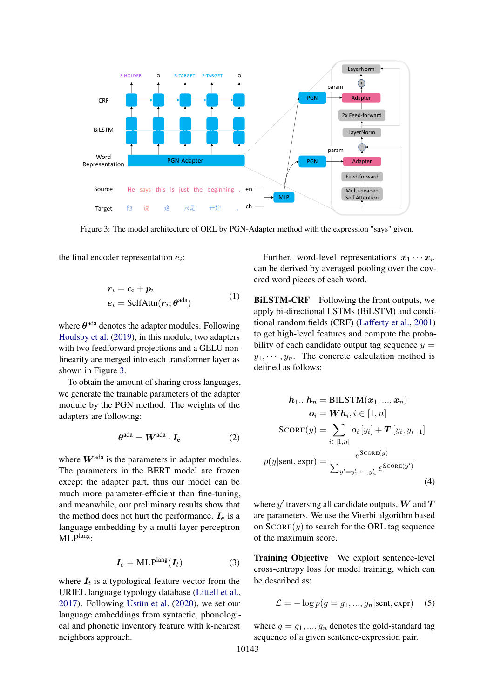<span id="page-4-0"></span>

Figure 3: The model architecture of ORL by PGN-Adapter method with the expression "says" given.

the final encoder representation  $e_i$ :

$$
r_i = c_i + p_i
$$
  
\n
$$
e_i = \text{SelfAttn}(r_i; \theta^{\text{ada}})
$$
\n(1)

where  $\theta^{\text{ada}}$  denotes the adapter modules. Following [Houlsby et al.](#page-8-10) [\(2019\)](#page-8-10), in this module, two adapters with two feedforward projections and a GELU nonlinearity are merged into each transformer layer as shown in Figure [3.](#page-4-0)

To obtain the amount of sharing cross languages, we generate the trainable parameters of the adapter module by the PGN method. The weights of the adapters are following:

$$
\boldsymbol{\theta}^{\text{ada}} = \boldsymbol{W}^{\text{ada}} \cdot \boldsymbol{I}_{\text{e}} \tag{2}
$$

where  $W^{\text{ada}}$  is the parameters in adapter modules. The parameters in the BERT model are frozen except the adapter part, thus our model can be much more parameter-efficient than fine-tuning, and meanwhile, our preliminary results show that the method does not hurt the performance.  $I_e$  is a language embedding by a multi-layer perceptron MLPlang:

$$
I_e = \text{MLP}^{\text{lang}}(I_t) \tag{3}
$$

where  $I_t$  is a typological feature vector from the URIEL language typology database [\(Littell et al.,](#page-9-16) [2017\)](#page-9-16). Following [Üstün et al.](#page-10-9) [\(2020\)](#page-10-9), we set our language embeddings from syntactic, phonological and phonetic inventory feature with k-nearest neighbors approach.

Further, word-level representations  $x_1 \cdots x_n$ can be derived by averaged pooling over the covered word pieces of each word.

BILSTM-CRF Following the front outputs, we apply bi-directional LSTMs (BiLSTM) and conditional random fields (CRF) [\(Lafferty et al.,](#page-9-17) [2001\)](#page-9-17) to get high-level features and compute the probability of each candidate output tag sequence  $y =$  $y_1, \dots, y_n$ . The concrete calculation method is defined as follows:

$$
h_1...h_n = \text{BILSTM}(x_1,...,x_n)
$$

$$
o_i = Wh_i, i \in [1, n]
$$

$$
\text{SCORE}(y) = \sum_{i \in [1, n]} o_i [y_i] + T [y_i, y_{i-1}]
$$

$$
p(y|\text{sent}, \text{expr}) = \frac{e^{\text{SCORE}(y)}}{\sum_{y'=y'_1, \cdots, y'_n} e^{\text{SCORE}(y')}} \tag{4}
$$

where  $y'$  traversing all candidate outputs,  $W$  and  $T$ are parameters. We use the Viterbi algorithm based on  $SCORE(y)$  to search for the ORL tag sequence of the maximum score.

Training Objective We exploit sentence-level cross-entropy loss for model training, which can be described as:

$$
\mathcal{L} = -\log p(g = g_1, ..., g_n | \text{sent}, \text{expr}) \quad (5)
$$

where  $g = g_1, ..., g_n$  denotes the gold-standard tag sequence of a given sentence-expression pair.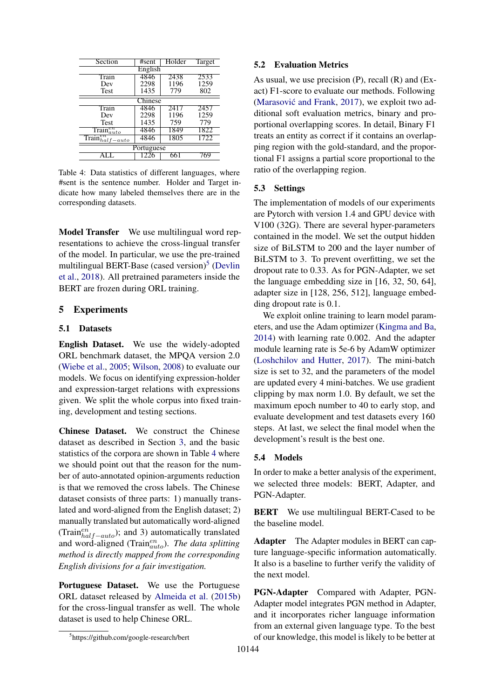<span id="page-5-2"></span>

| Section                                    | #sent | Holder | Target |  |  |  |  |  |
|--------------------------------------------|-------|--------|--------|--|--|--|--|--|
| English                                    |       |        |        |  |  |  |  |  |
| Train                                      | 4846  | 2438   | 2533   |  |  |  |  |  |
| Dev                                        | 2298  | 1196   | 1259   |  |  |  |  |  |
| Test                                       | 1435  | 779    | 802    |  |  |  |  |  |
| Chinese                                    |       |        |        |  |  |  |  |  |
| Train                                      | 4846  | 2411   | 2457   |  |  |  |  |  |
| Dev                                        | 2298  | 1196   | 1259   |  |  |  |  |  |
| <b>Test</b>                                | 1435  | 759    | 779    |  |  |  |  |  |
| $\overline{\text{Train}_{auto}^{en}}$      | 4846  | 1849   | 1822   |  |  |  |  |  |
| $\overline{\text{Train}_{half-auto}^{en}}$ | 4846  | 1805   | 1722   |  |  |  |  |  |
| Portuguese                                 |       |        |        |  |  |  |  |  |
|                                            | 1226  |        |        |  |  |  |  |  |

Table 4: Data statistics of different languages, where #sent is the sentence number. Holder and Target indicate how many labeled themselves there are in the corresponding datasets.

Model Transfer We use multilingual word representations to achieve the cross-lingual transfer of the model. In particular, we use the pre-trained multilingual BERT-Base (cased version)<sup>[5](#page-5-1)</sup> [\(Devlin](#page-8-4) [et al.,](#page-8-4) [2018\)](#page-8-4). All pretrained parameters inside the BERT are frozen during ORL training.

## 5 Experiments

#### <span id="page-5-0"></span>5.1 Datasets

English Dataset. We use the widely-adopted ORL benchmark dataset, the MPQA version 2.0 [\(Wiebe et al.,](#page-10-4) [2005;](#page-10-4) [Wilson,](#page-10-17) [2008\)](#page-10-17) to evaluate our models. We focus on identifying expression-holder and expression-target relations with expressions given. We split the whole corpus into fixed training, development and testing sections.

Chinese Dataset. We construct the Chinese dataset as described in Section [3,](#page-2-4) and the basic statistics of the corpora are shown in Table [4](#page-5-2) where we should point out that the reason for the number of auto-annotated opinion-arguments reduction is that we removed the cross labels. The Chinese dataset consists of three parts: 1) manually translated and word-aligned from the English dataset; 2) manually translated but automatically word-aligned (Train ${}_{half-auto}^{en}$ ); and 3) automatically translated and word-aligned (Train<sup>en</sup><sub>auto</sub>). The data splitting *method is directly mapped from the corresponding English divisions for a fair investigation.*

Portuguese Dataset. We use the Portuguese ORL dataset released by [Almeida et al.](#page-8-13) [\(2015b\)](#page-8-13) for the cross-lingual transfer as well. The whole dataset is used to help Chinese ORL.

As usual, we use precision (P), recall (R) and (Exact) F1-score to evaluate our methods. Following (Marasović and Frank,  $2017$ ), we exploit two additional soft evaluation metrics, binary and proportional overlapping scores. In detail, Binary F1 treats an entity as correct if it contains an overlapping region with the gold-standard, and the proportional F1 assigns a partial score proportional to the ratio of the overlapping region.

### 5.3 Settings

The implementation of models of our experiments are Pytorch with version 1.4 and GPU device with V100 (32G). There are several hyper-parameters contained in the model. We set the output hidden size of BiLSTM to 200 and the layer number of BiLSTM to 3. To prevent overfitting, we set the dropout rate to 0.33. As for PGN-Adapter, we set the language embedding size in [16, 32, 50, 64], adapter size in [128, 256, 512], language embedding dropout rate is 0.1.

We exploit online training to learn model parameters, and use the Adam optimizer [\(Kingma and Ba,](#page-9-18) [2014\)](#page-9-18) with learning rate 0.002. And the adapter module learning rate is 5e-6 by AdamW optimizer [\(Loshchilov and Hutter,](#page-9-19) [2017\)](#page-9-19). The mini-batch size is set to 32, and the parameters of the model are updated every 4 mini-batches. We use gradient clipping by max norm 1.0. By default, we set the maximum epoch number to 40 to early stop, and evaluate development and test datasets every 160 steps. At last, we select the final model when the development's result is the best one.

### 5.4 Models

In order to make a better analysis of the experiment, we selected three models: BERT, Adapter, and PGN-Adapter.

BERT We use multilingual BERT-Cased to be the baseline model.

Adapter The Adapter modules in BERT can capture language-specific information automatically. It also is a baseline to further verify the validity of the next model.

PGN-Adapter Compared with Adapter, PGN-Adapter model integrates PGN method in Adapter, and it incorporates richer language information from an external given language type. To the best of our knowledge, this model is likely to be better at

<sup>5.2</sup> Evaluation Metrics

<span id="page-5-1"></span><sup>5</sup> https://github.com/google-research/bert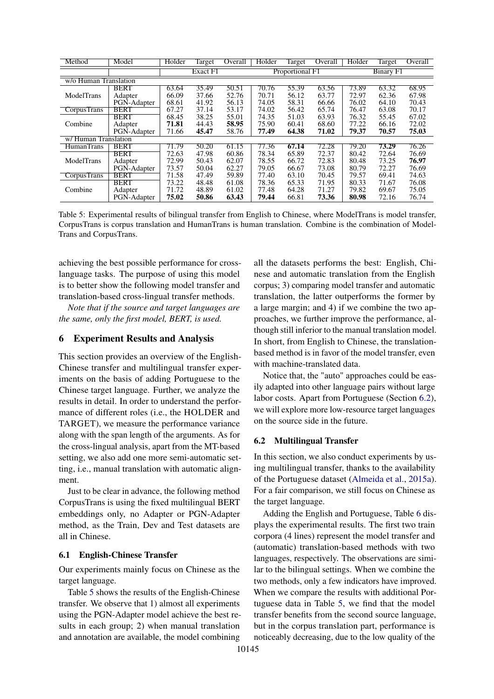<span id="page-6-0"></span>

| Method                | Model       | Holder | Target   | Overall | Holder | Target          | Overall | Holder | <b>Target</b>    | Overall |
|-----------------------|-------------|--------|----------|---------|--------|-----------------|---------|--------|------------------|---------|
|                       |             |        | Exact F1 |         |        | Proportional F1 |         |        | <b>Binary F1</b> |         |
| w/o Human Translation |             |        |          |         |        |                 |         |        |                  |         |
|                       | <b>BERT</b> | 63.64  | 35.49    | 50.51   | 70.76  | 55.39           | 63.56   | 73.89  | 63.32            | 68.95   |
| ModelTrans            | Adapter     | 66.09  | 37.66    | 52.76   | 70.71  | 56.12           | 63.77   | 72.97  | 62.36            | 67.98   |
|                       | PGN-Adapter | 68.61  | 41.92    | 56.13   | 74.05  | 58.31           | 66.66   | 76.02  | 64.10            | 70.43   |
| <b>CorpusTrans</b>    | <b>BERT</b> | 67.27  | 37.14    | 53.17   | 74.02  | 56.42           | 65.74   | 76.47  | 63.08            | 70.17   |
|                       | BERT        | 68.45  | 38.25    | 55.01   | 74.35  | 51.03           | 63.93   | 76.32  | 55.45            | 67.02   |
| Combine               | Adapter     | 71.81  | 44.43    | 58.95   | 75.90  | 60.41           | 68.60   | 77.22  | 66.16            | 72.02   |
|                       | PGN-Adapter | 71.66  | 45.47    | 58.76   | 77.49  | 64.38           | 71.02   | 79.37  | 70.57            | 75.03   |
| w/Human Translation   |             |        |          |         |        |                 |         |        |                  |         |
| <b>HumanTrans</b>     | <b>BERT</b> | 71.79  | 50.20    | 61.15   | 77.36  | 67.14           | 72.28   | 79.20  | 73.29            | 76.26   |
|                       | <b>BERT</b> | 72.63  | 47.98    | 60.86   | 78.34  | 65.89           | 72.37   | 80.42  | 72.64            | 76.69   |
| ModelTrans            | Adapter     | 72.99  | 50.43    | 62.07   | 78.55  | 66.72           | 72.83   | 80.48  | 73.25            | 76.97   |
|                       | PGN-Adapter | 73.57  | 50.04    | 62.27   | 79.05  | 66.67           | 73.08   | 80.79  | 72.27            | 76.69   |
| <b>CorpusTrans</b>    | <b>BERT</b> | 71.58  | 47.49    | 59.89   | 77.40  | 63.10           | 70.45   | 79.57  | 69.41            | 74.63   |
|                       | BERT        | 73.22  | 48.48    | 61.08   | 78.36  | 65.33           | 71.95   | 80.33  | 71.67            | 76.08   |
| Combine               | Adapter     | 71.72  | 48.89    | 61.02   | 77.48  | 64.28           | 71.27   | 79.82  | 69.67            | 75.05   |
|                       | PGN-Adapter | 75.02  | 50.86    | 63.43   | 79.44  | 66.81           | 73.36   | 80.98  | 72.16            | 76.74   |

Table 5: Experimental results of bilingual transfer from English to Chinese, where ModelTrans is model transfer, CorpusTrans is corpus translation and HumanTrans is human translation. Combine is the combination of Model-Trans and CorpusTrans.

achieving the best possible performance for crosslanguage tasks. The purpose of using this model is to better show the following model transfer and translation-based cross-lingual transfer methods.

*Note that if the source and target languages are the same, only the first model, BERT, is used.*

### 6 Experiment Results and Analysis

This section provides an overview of the English-Chinese transfer and multilingual transfer experiments on the basis of adding Portuguese to the Chinese target language. Further, we analyze the results in detail. In order to understand the performance of different roles (i.e., the HOLDER and TARGET), we measure the performance variance along with the span length of the arguments. As for the cross-lingual analysis, apart from the MT-based setting, we also add one more semi-automatic setting, i.e., manual translation with automatic alignment.

Just to be clear in advance, the following method CorpusTrans is using the fixed multilingual BERT embeddings only, no Adapter or PGN-Adapter method, as the Train, Dev and Test datasets are all in Chinese.

### 6.1 English-Chinese Transfer

Our experiments mainly focus on Chinese as the target language.

Table [5](#page-6-0) shows the results of the English-Chinese transfer. We observe that 1) almost all experiments using the PGN-Adapter model achieve the best results in each group; 2) when manual translation and annotation are available, the model combining

all the datasets performs the best: English, Chinese and automatic translation from the English corpus; 3) comparing model transfer and automatic translation, the latter outperforms the former by a large margin; and 4) if we combine the two approaches, we further improve the performance, although still inferior to the manual translation model. In short, from English to Chinese, the translationbased method is in favor of the model transfer, even with machine-translated data.

Notice that, the "auto" approaches could be easily adapted into other language pairs without large labor costs. Apart from Portuguese (Section [6.2\)](#page-6-1), we will explore more low-resource target languages on the source side in the future.

### <span id="page-6-1"></span>6.2 Multilingual Transfer

In this section, we also conduct experiments by using multilingual transfer, thanks to the availability of the Portuguese dataset [\(Almeida et al.,](#page-8-2) [2015a\)](#page-8-2). For a fair comparison, we still focus on Chinese as the target language.

Adding the English and Portuguese, Table [6](#page-7-0) displays the experimental results. The first two train corpora (4 lines) represent the model transfer and (automatic) translation-based methods with two languages, respectively. The observations are similar to the bilingual settings. When we combine the two methods, only a few indicators have improved. When we compare the results with additional Portuguese data in Table [5,](#page-6-0) we find that the model transfer benefits from the second source language, but in the corpus translation part, performance is noticeably decreasing, due to the low quality of the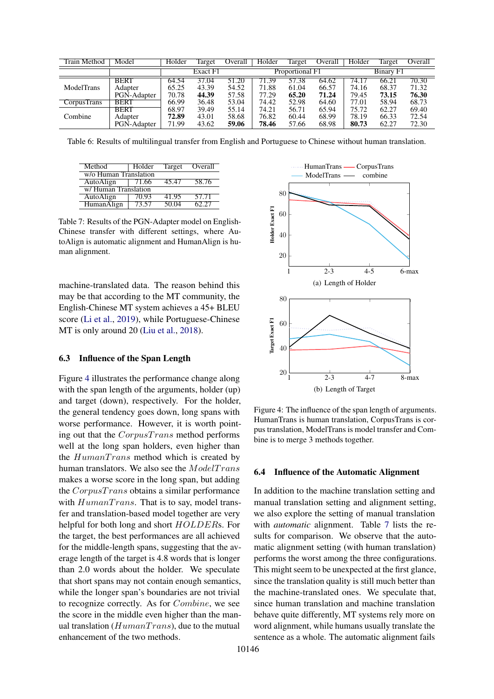<span id="page-7-0"></span>

| Train Method       | Model       | Holder   | Target | Overall | Holder          | Target | Overall | Holder           | Target | Overall |
|--------------------|-------------|----------|--------|---------|-----------------|--------|---------|------------------|--------|---------|
|                    |             | Exact F1 |        |         | Proportional F1 |        |         | <b>Binary F1</b> |        |         |
|                    | <b>BERT</b> | 64.54    | 37.04  | 51.20   | 71.39           | 57.38  | 64.62   | 74.17            | 66.21  | 70.30   |
| ModelTrans         | Adapter     | 65.25    | 43.39  | 54.52   | 71.88           | 61.04  | 66.57   | 74.16            | 68.37  | 71.32   |
|                    | PGN-Adapter | 70.78    | 44.39  | 57.58   | 77.29           | 65.20  | 71.24   | 79.45            | 73.15  | 76.30   |
| <b>CorpusTrans</b> | BERT        | 66.99    | 36.48  | 53.04   | 74.42           | 52.98  | 64.60   | 77.01            | 58.94  | 68.73   |
|                    | BERT        | 68.97    | 39.49  | 55.14   | 74.21           | 56.71  | 65.94   | 75.72            | 62.27  | 69.40   |
| Combine            | Adapter     | 72.89    | 43.01  | 58.68   | 76.82           | 60.44  | 68.99   | 78.19            | 66.33  | 72.54   |
|                    | PGN-Adapter | 71.99    | 43.62  | 59.06   | 78.46           | 57.66  | 68.98   | 80.73            | 62.27  | 72.30   |

Table 6: Results of multilingual transfer from English and Portuguese to Chinese without human translation.

<span id="page-7-2"></span>

| Method                | Holder | Target | Overall |  |  |  |  |  |  |
|-----------------------|--------|--------|---------|--|--|--|--|--|--|
| w/o Human Translation |        |        |         |  |  |  |  |  |  |
| AutoAlign             | 71.66  | 45.47  | 58.76   |  |  |  |  |  |  |
| w/Human Translation   |        |        |         |  |  |  |  |  |  |
| AutoAlign             | 70.93  | 41.95  | 57.71   |  |  |  |  |  |  |
| <b>HumanAlign</b>     | 13.57  | 50.04  | ドノウィ    |  |  |  |  |  |  |

Table 7: Results of the PGN-Adapter model on English-Chinese transfer with different settings, where AutoAlign is automatic alignment and HumanAlign is human alignment.

machine-translated data. The reason behind this may be that according to the MT community, the English-Chinese MT system achieves a 45+ BLEU score [\(Li et al.,](#page-9-15) [2019\)](#page-9-15), while Portuguese-Chinese MT is only around 20 [\(Liu et al.,](#page-9-20) [2018\)](#page-9-20).

#### 6.3 Influence of the Span Length

Figure [4](#page-7-1) illustrates the performance change along with the span length of the arguments, holder (up) and target (down), respectively. For the holder, the general tendency goes down, long spans with worse performance. However, it is worth pointing out that the CorpusTrans method performs well at the long span holders, even higher than the  $Human Trans$  method which is created by human translators. We also see the  $ModelTrans$ makes a worse score in the long span, but adding the  $CorpusTrans$  obtains a similar performance with  $Human Trans.$  That is to say, model transfer and translation-based model together are very helpful for both long and short  $HOLDERs$ . For the target, the best performances are all achieved for the middle-length spans, suggesting that the average length of the target is 4.8 words that is longer than 2.0 words about the holder. We speculate that short spans may not contain enough semantics, while the longer span's boundaries are not trivial to recognize correctly. As for Combine, we see the score in the middle even higher than the manual translation ( $Human Trans$ ), due to the mutual enhancement of the two methods.

<span id="page-7-1"></span>

Figure 4: The influence of the span length of arguments. HumanTrans is human translation, CorpusTrans is corpus translation, ModelTrans is model transfer and Combine is to merge 3 methods together.

#### 6.4 Influence of the Automatic Alignment

In addition to the machine translation setting and manual translation setting and alignment setting, we also explore the setting of manual translation with *automatic* alignment. Table [7](#page-7-2) lists the results for comparison. We observe that the automatic alignment setting (with human translation) performs the worst among the three configurations. This might seem to be unexpected at the first glance, since the translation quality is still much better than the machine-translated ones. We speculate that, since human translation and machine translation behave quite differently, MT systems rely more on word alignment, while humans usually translate the sentence as a whole. The automatic alignment fails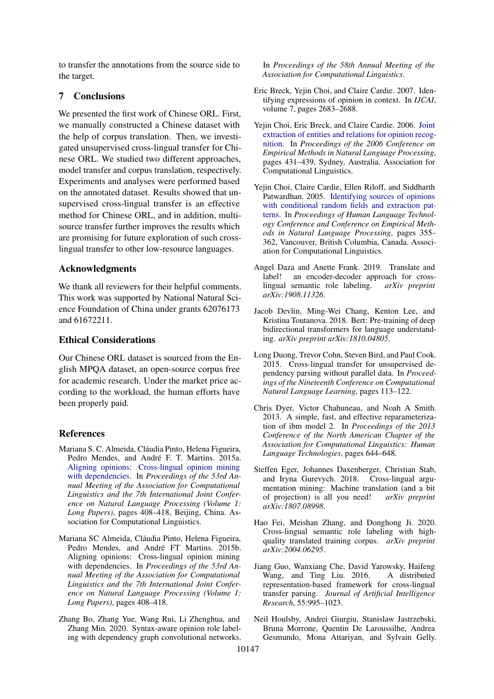to transfer the annotations from the source side to the target.

# 7 Conclusions

We presented the first work of Chinese ORL. First, we manually constructed a Chinese dataset with the help of corpus translation. Then, we investigated unsupervised cross-lingual transfer for Chinese ORL. We studied two different approaches, model transfer and corpus translation, respectively. Experiments and analyses were performed based on the annotated dataset. Results showed that unsupervised cross-lingual transfer is an effective method for Chinese ORL, and in addition, multisource transfer further improves the results which are promising for future exploration of such crosslingual transfer to other low-resource languages.

# Acknowledgments

We thank all reviewers for their helpful comments. This work was supported by National Natural Science Foundation of China under grants 62076173 and 61672211.

## Ethical Considerations

Our Chinese ORL dataset is sourced from the English MPQA dataset, an open-source corpus free for academic research. Under the market price according to the workload, the human efforts have been properly paid.

### References

- <span id="page-8-2"></span>Mariana S. C. Almeida, Cláudia Pinto, Helena Figueira, Pedro Mendes, and André F. T. Martins. 2015a. [Aligning opinions: Cross-lingual opinion mining](https://doi.org/10.3115/v1/P15-1040) [with dependencies.](https://doi.org/10.3115/v1/P15-1040) In *Proceedings of the 53rd Annual Meeting of the Association for Computational Linguistics and the 7th International Joint Conference on Natural Language Processing (Volume 1: Long Papers)*, pages 408–418, Beijing, China. Association for Computational Linguistics.
- <span id="page-8-13"></span>Mariana SC Almeida, Cláudia Pinto, Helena Figueira, Pedro Mendes, and André FT Martins. 2015b. Aligning opinions: Cross-lingual opinion mining with dependencies. In *Proceedings of the 53rd Annual Meeting of the Association for Computational Linguistics and the 7th International Joint Conference on Natural Language Processing (Volume 1: Long Papers)*, pages 408–418.
- <span id="page-8-6"></span>Zhang Bo, Zhang Yue, Wang Rui, Li Zhenghua, and Zhang Min. 2020. Syntax-aware opinion role labeling with dependency graph convolutional networks.

In *Proceedings of the 58th Annual Meeting of the Association for Computational Linguistics*.

- <span id="page-8-0"></span>Eric Breck, Yejin Choi, and Claire Cardie. 2007. Identifying expressions of opinion in context. In *IJCAI*, volume 7, pages 2683–2688.
- <span id="page-8-1"></span>Yejin Choi, Eric Breck, and Claire Cardie. 2006. [Joint](https://www.aclweb.org/anthology/W06-1651) [extraction of entities and relations for opinion recog](https://www.aclweb.org/anthology/W06-1651)[nition.](https://www.aclweb.org/anthology/W06-1651) In *Proceedings of the 2006 Conference on Empirical Methods in Natural Language Processing*, pages 431–439, Sydney, Australia. Association for Computational Linguistics.
- <span id="page-8-5"></span>Yejin Choi, Claire Cardie, Ellen Riloff, and Siddharth Patwardhan. 2005. [Identifying sources of opinions](https://www.aclweb.org/anthology/H05-1045) [with conditional random fields and extraction pat](https://www.aclweb.org/anthology/H05-1045)[terns.](https://www.aclweb.org/anthology/H05-1045) In *Proceedings of Human Language Technology Conference and Conference on Empirical Methods in Natural Language Processing*, pages 355– 362, Vancouver, British Columbia, Canada. Association for Computational Linguistics.
- <span id="page-8-3"></span>Angel Daza and Anette Frank. 2019. Translate and label! an encoder-decoder approach for crosslingual semantic role labeling. *arXiv preprint arXiv:1908.11326*.
- <span id="page-8-4"></span>Jacob Devlin, Ming-Wei Chang, Kenton Lee, and Kristina Toutanova. 2018. Bert: Pre-training of deep bidirectional transformers for language understanding. *arXiv preprint arXiv:1810.04805*.
- <span id="page-8-9"></span>Long Duong, Trevor Cohn, Steven Bird, and Paul Cook. 2015. Cross-lingual transfer for unsupervised dependency parsing without parallel data. In *Proceedings of the Nineteenth Conference on Computational Natural Language Learning*, pages 113–122.
- <span id="page-8-12"></span>Chris Dyer, Victor Chahuneau, and Noah A Smith. 2013. A simple, fast, and effective reparameterization of ibm model 2. In *Proceedings of the 2013 Conference of the North American Chapter of the Association for Computational Linguistics: Human Language Technologies*, pages 644–648.
- <span id="page-8-11"></span>Steffen Eger, Johannes Daxenberger, Christian Stab, and Iryna Gurevych. 2018. Cross-lingual argumentation mining: Machine translation (and a bit of projection) is all you need! *arXiv preprint arXiv:1807.08998*.
- <span id="page-8-7"></span>Hao Fei, Meishan Zhang, and Donghong Ji. 2020. Cross-lingual semantic role labeling with highquality translated training corpus. *arXiv preprint arXiv:2004.06295*.
- <span id="page-8-8"></span>Jiang Guo, Wanxiang Che, David Yarowsky, Haifeng Wang, and Ting Liu. 2016. A distributed representation-based framework for cross-lingual transfer parsing. *Journal of Artificial Intelligence Research*, 55:995–1023.
- <span id="page-8-10"></span>Neil Houlsby, Andrei Giurgiu, Stanislaw Jastrzebski, Bruna Morrone, Quentin De Laroussilhe, Andrea Gesmundo, Mona Attariyan, and Sylvain Gelly.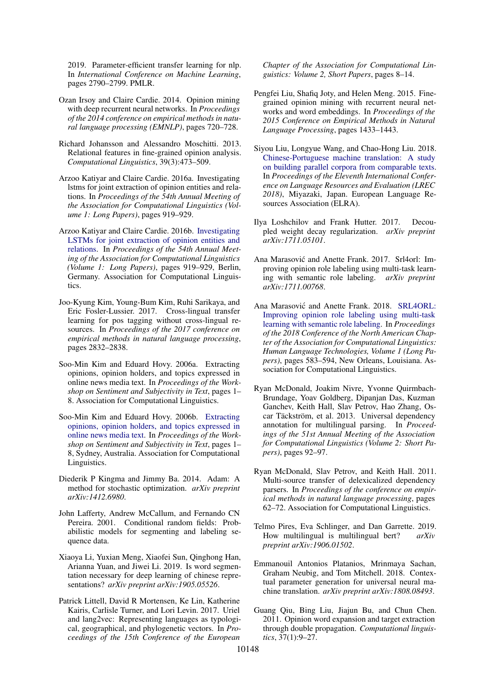2019. Parameter-efficient transfer learning for nlp. In *International Conference on Machine Learning*, pages 2790–2799. PMLR.

- <span id="page-9-2"></span>Ozan Irsoy and Claire Cardie. 2014. Opinion mining with deep recurrent neural networks. In *Proceedings of the 2014 conference on empirical methods in natural language processing (EMNLP)*, pages 720–728.
- <span id="page-9-7"></span>Richard Johansson and Alessandro Moschitti. 2013. Relational features in fine-grained opinion analysis. *Computational Linguistics*, 39(3):473–509.
- <span id="page-9-4"></span>Arzoo Katiyar and Claire Cardie. 2016a. Investigating lstms for joint extraction of opinion entities and relations. In *Proceedings of the 54th Annual Meeting of the Association for Computational Linguistics (Volume 1: Long Papers)*, pages 919–929.
- <span id="page-9-8"></span>Arzoo Katiyar and Claire Cardie. 2016b. [Investigating](https://doi.org/10.18653/v1/P16-1087) [LSTMs for joint extraction of opinion entities and](https://doi.org/10.18653/v1/P16-1087) [relations.](https://doi.org/10.18653/v1/P16-1087) In *Proceedings of the 54th Annual Meeting of the Association for Computational Linguistics (Volume 1: Long Papers)*, pages 919–929, Berlin, Germany. Association for Computational Linguistics.
- <span id="page-9-12"></span>Joo-Kyung Kim, Young-Bum Kim, Ruhi Sarikaya, and Eric Fosler-Lussier. 2017. Cross-lingual transfer learning for pos tagging without cross-lingual resources. In *Proceedings of the 2017 conference on empirical methods in natural language processing*, pages 2832–2838.
- <span id="page-9-0"></span>Soo-Min Kim and Eduard Hovy. 2006a. Extracting opinions, opinion holders, and topics expressed in online news media text. In *Proceedings of the Workshop on Sentiment and Subjectivity in Text*, pages 1– 8. Association for Computational Linguistics.
- <span id="page-9-6"></span>Soo-Min Kim and Eduard Hovy. 2006b. [Extracting](https://www.aclweb.org/anthology/W06-0301) [opinions, opinion holders, and topics expressed in](https://www.aclweb.org/anthology/W06-0301) [online news media text.](https://www.aclweb.org/anthology/W06-0301) In *Proceedings of the Workshop on Sentiment and Subjectivity in Text*, pages 1– 8, Sydney, Australia. Association for Computational Linguistics.
- <span id="page-9-18"></span>Diederik P Kingma and Jimmy Ba. 2014. Adam: A method for stochastic optimization. *arXiv preprint arXiv:1412.6980*.
- <span id="page-9-17"></span>John Lafferty, Andrew McCallum, and Fernando CN Pereira. 2001. Conditional random fields: Probabilistic models for segmenting and labeling sequence data.
- <span id="page-9-15"></span>Xiaoya Li, Yuxian Meng, Xiaofei Sun, Qinghong Han, Arianna Yuan, and Jiwei Li. 2019. Is word segmentation necessary for deep learning of chinese representations? *arXiv preprint arXiv:1905.05526*.
- <span id="page-9-16"></span>Patrick Littell, David R Mortensen, Ke Lin, Katherine Kairis, Carlisle Turner, and Lori Levin. 2017. Uriel and lang2vec: Representing languages as typological, geographical, and phylogenetic vectors. In *Proceedings of the 15th Conference of the European*

*Chapter of the Association for Computational Linguistics: Volume 2, Short Papers*, pages 8–14.

- <span id="page-9-3"></span>Pengfei Liu, Shafiq Joty, and Helen Meng. 2015. Finegrained opinion mining with recurrent neural networks and word embeddings. In *Proceedings of the 2015 Conference on Empirical Methods in Natural Language Processing*, pages 1433–1443.
- <span id="page-9-20"></span>Siyou Liu, Longyue Wang, and Chao-Hong Liu. 2018. [Chinese-Portuguese machine translation: A study](https://www.aclweb.org/anthology/L18-1236) [on building parallel corpora from comparable texts.](https://www.aclweb.org/anthology/L18-1236) In *Proceedings of the Eleventh International Conference on Language Resources and Evaluation (LREC 2018)*, Miyazaki, Japan. European Language Resources Association (ELRA).
- <span id="page-9-19"></span>Ilya Loshchilov and Frank Hutter. 2017. Decoupled weight decay regularization. *arXiv preprint arXiv:1711.05101*.
- <span id="page-9-5"></span>Ana Marasović and Anette Frank. 2017. Srl4orl: Improving opinion role labeling using multi-task learning with semantic role labeling. *arXiv preprint arXiv:1711.00768*.
- <span id="page-9-11"></span>Ana Marasović and Anette Frank. 2018. [SRL4ORL:](https://doi.org/10.18653/v1/N18-1054) [Improving opinion role labeling using multi-task](https://doi.org/10.18653/v1/N18-1054) [learning with semantic role labeling.](https://doi.org/10.18653/v1/N18-1054) In *Proceedings of the 2018 Conference of the North American Chapter of the Association for Computational Linguistics: Human Language Technologies, Volume 1 (Long Papers)*, pages 583–594, New Orleans, Louisiana. Association for Computational Linguistics.
- <span id="page-9-9"></span>Ryan McDonald, Joakim Nivre, Yvonne Quirmbach-Brundage, Yoav Goldberg, Dipanjan Das, Kuzman Ganchev, Keith Hall, Slav Petrov, Hao Zhang, Oscar Täckström, et al. 2013. Universal dependency annotation for multilingual parsing. In *Proceedings of the 51st Annual Meeting of the Association for Computational Linguistics (Volume 2: Short Papers)*, pages 92–97.
- <span id="page-9-13"></span>Ryan McDonald, Slav Petrov, and Keith Hall. 2011. Multi-source transfer of delexicalized dependency parsers. In *Proceedings of the conference on empirical methods in natural language processing*, pages 62–72. Association for Computational Linguistics.
- <span id="page-9-10"></span>Telmo Pires, Eva Schlinger, and Dan Garrette. 2019. How multilingual is multilingual bert? *arXiv preprint arXiv:1906.01502*.
- <span id="page-9-14"></span>Emmanouil Antonios Platanios, Mrinmaya Sachan, Graham Neubig, and Tom Mitchell. 2018. Contextual parameter generation for universal neural machine translation. *arXiv preprint arXiv:1808.08493*.
- <span id="page-9-1"></span>Guang Qiu, Bing Liu, Jiajun Bu, and Chun Chen. 2011. Opinion word expansion and target extraction through double propagation. *Computational linguistics*, 37(1):9–27.